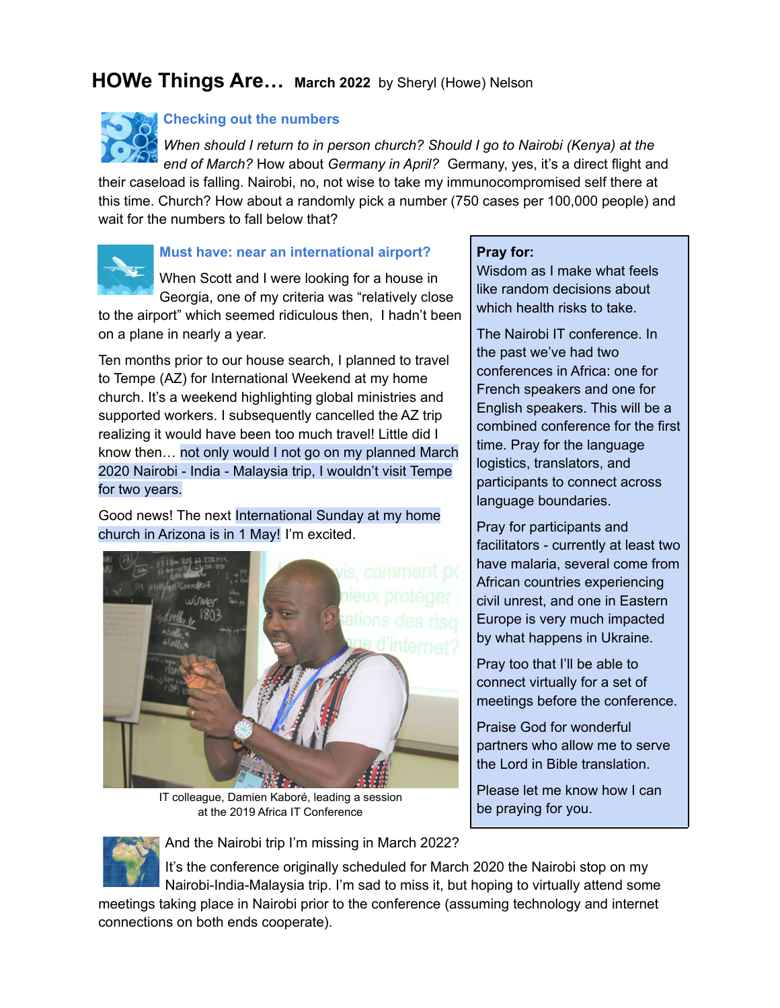# **HOWe Things Are… March <sup>2022</sup>** by Sheryl (Howe) Nelson



### **Checking out the numbers**

*When should I return to in person church? Should I go to Nairobi (Kenya) at the end of March?* How about *Germany in April?* Germany, yes, it's a direct flight and

their caseload is falling. Nairobi, no, not wise to take my immunocompromised self there at this time. Church? How about a randomly pick a number (750 cases per 100,000 people) and wait for the numbers to fall below that?



## **Must have: near an international airport?**

When Scott and I were looking for a house in Georgia, one of my criteria was "relatively close

to the airport" which seemed ridiculous then, I hadn't been on a plane in nearly a year.

Ten months prior to our house search, I planned to travel to Tempe (AZ) for International Weekend at my home church. It's a weekend highlighting global ministries and supported workers. I subsequently cancelled the AZ trip realizing it would have been too much travel! Little did I know then… not only would I not go on my planned March 2020 Nairobi - India - Malaysia trip, I wouldn't visit Tempe for two years.

Good news! The next International Sunday at my home church in Arizona is in 1 May! I'm excited.



IT colleague, Damien Kaboré, leading a session at the 2019 Africa IT Conference

### **Pray for:**

Wisdom as I make what feels like random decisions about which health risks to take.

The Nairobi IT conference. In the past we've had two conferences in Africa: one for French speakers and one for English speakers. This will be a combined conference for the first time. Pray for the language logistics, translators, and participants to connect across language boundaries.

Pray for participants and facilitators - currently at least two have malaria, several come from African countries experiencing civil unrest, and one in Eastern Europe is very much impacted by what happens in Ukraine.

Pray too that I'll be able to connect virtually for a set of meetings before the conference.

Praise God for wonderful partners who allow me to serve the Lord in Bible translation.

Please let me know how I can be praying for you.



And the Nairobi trip I'm missing in March 2022?

It's the conference originally scheduled for March 2020 the Nairobi stop on my Nairobi-India-Malaysia trip. I'm sad to miss it, but hoping to virtually attend some

meetings taking place in Nairobi prior to the conference (assuming technology and internet connections on both ends cooperate).